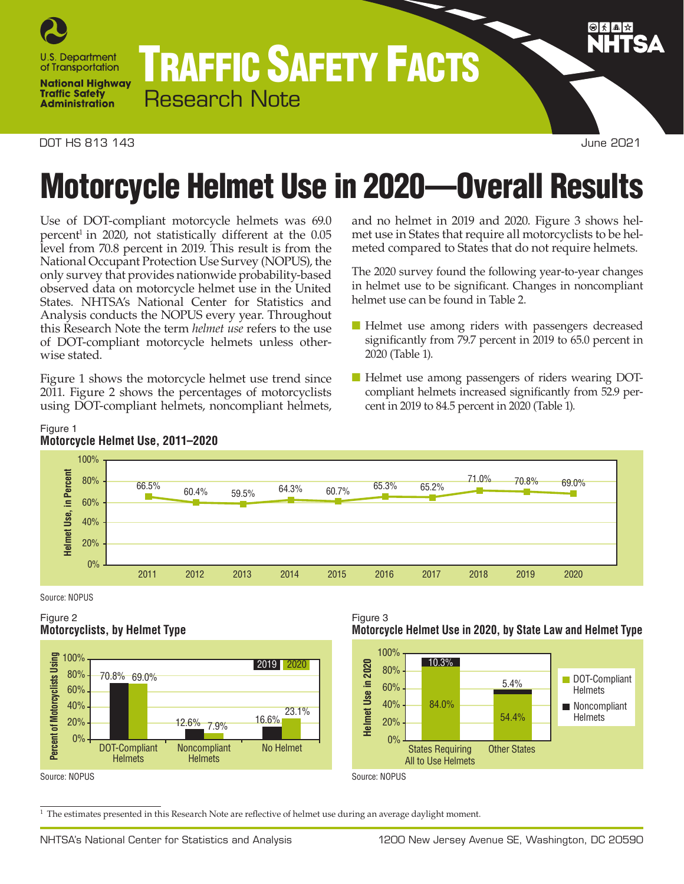

# TRAFFIC SAFETY FACTS Research Note

#### DOT HS 813 143 June 2021

# Motorcycle Helmet Use in 2020—Overall Results

Use of DOT-compliant motorcycle helmets was 69.0 percent 1 in 2020, not statistically different at the 0.05 level from 70.8 percent in 2019. This result is from the National Occupant Protection Use Survey (NOPUS), the only survey that provides nationwide probability-based observed data on motorcycle helmet use in the United States. NHTSA's National Center for Statistics and Analysis conducts the NOPUS every year. Throughout this Research Note the term *helmet use* refers to the use of DOT-compliant motorcycle helmets unless otherwise stated.

Figure 1 shows the motorcycle helmet use trend since 2011. Figure 2 shows the percentages of motorcyclists using DOT-compliant helmets, noncompliant helmets, and no helmet in 2019 and 2020. Figure 3 shows helmet use in States that require all motorcyclists to be helmeted compared to States that do not require helmets.

The 2020 survey found the following year-to-year changes in helmet use to be significant. Changes in noncompliant helmet use can be found in Table 2.

- Helmet use among riders with passengers decreased significantly from 79.7 percent in 2019 to 65.0 percent in 2020 (Table 1).
- Helmet use among passengers of riders wearing DOTcompliant helmets increased significantly from 52.9 percent in 2019 to 84.5 percent in 2020 (Table 1).



### Figure 1 **Motorcycle Helmet Use, 2011–2020**

Source: NOPUS

## Figure 2 **Motorcyclists, by Helmet Type**



#### Figure 3 **Motorcycle Helmet Use in 2020, by State Law and Helmet Type**



Source: NOPUS

Source: NOPUS

 $^{\rm 1}$  The estimates presented in this Research Note are reflective of helmet use during an average daylight moment.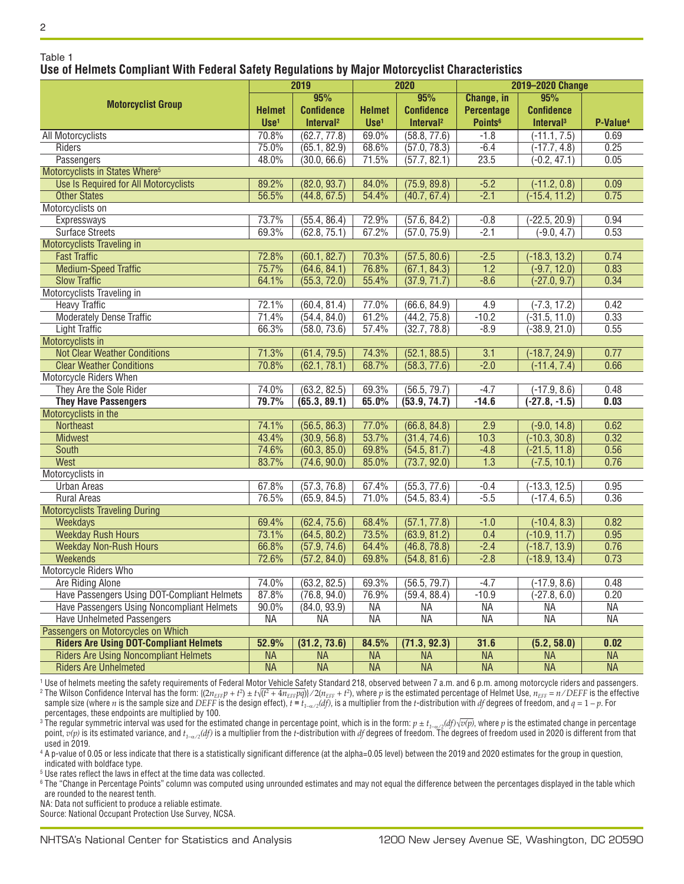Table 1

 $\overline{2}$ 

### **Use of Helmets Compliant With Federal Safety Regulations by Major Motorcyclist Characteristics**

|                                               | 2019             |                       | 2020                     |                       | 2019-2020 Change           |                          |                      |
|-----------------------------------------------|------------------|-----------------------|--------------------------|-----------------------|----------------------------|--------------------------|----------------------|
|                                               |                  | 95%                   |                          | 95%                   | Change, in                 | 95%                      |                      |
| <b>Motorcyclist Group</b>                     | <b>Helmet</b>    | <b>Confidence</b>     | <b>Helmet</b>            | <b>Confidence</b>     | <b>Percentage</b>          | <b>Confidence</b>        |                      |
|                                               | Use <sup>1</sup> | Interval <sup>2</sup> | $Use1$                   | Interval <sup>2</sup> | <b>Points</b> <sup>6</sup> | Interval <sup>3</sup>    | P-Value <sup>4</sup> |
| All Motorcyclists                             | 70.8%            | (62.7, 77.8)          | 69.0%                    | (58.8, 77.6)          | $-1.8$                     | $(-11.1, 7.5)$           | 0.69                 |
| Riders                                        | 75.0%            | (65.1, 82.9)          | 68.6%                    | (57.0, 78.3)          | $-6.4$                     | $(-17.7, 4.8)$           | 0.25                 |
| Passengers                                    | 48.0%            | (30.0, 66.6)          | 71.5%                    | (57.7, 82.1)          | 23.5                       | $(-0.2, 47.1)$           | 0.05                 |
| Motorcyclists in States Where <sup>5</sup>    |                  |                       |                          |                       |                            |                          |                      |
| Use Is Required for All Motorcyclists         | 89.2%            | (82.0, 93.7)          | 84.0%                    | (75.9, 89.8)          | $-5.2$                     | $(-11.2, 0.8)$           | 0.09                 |
| <b>Other States</b>                           | 56.5%            | (44.8, 67.5)          | 54.4%                    | (40.7, 67.4)          | $-2.1$                     | $(-15.4, 11.2)$          | 0.75                 |
| Motorcyclists on                              |                  |                       |                          |                       |                            |                          |                      |
| Expressways                                   | 73.7%            | (55.4, 86.4)          | 72.9%                    | (57.6, 84.2)          | $-0.8$                     | $-22.5, 20.9$            | 0.94                 |
| <b>Surface Streets</b>                        | 69.3%            | (62.8, 75.1)          | 67.2%                    | (57.0, 75.9)          | $-2.1$                     | $(-9.0, 4.7)$            | 0.53                 |
| Motorcyclists Traveling in                    |                  |                       |                          |                       |                            |                          |                      |
| <b>Fast Traffic</b>                           | 72.8%            | (60.1, 82.7)          | 70.3%                    | (57.5, 80.6)          | $-2.5$                     | $(-18.3, 13.2)$          | 0.74                 |
| <b>Medium-Speed Traffic</b>                   | 75.7%            | (64.6, 84.1)          | 76.8%                    | (67.1, 84.3)          | $\overline{1.2}$           | $(-9.7, 12.0)$           | 0.83                 |
| <b>Slow Traffic</b>                           | 64.1%            | (55.3, 72.0)          | 55.4%                    | (37.9, 71.7)          | $-8.6$                     | $(-27.0, 9.7)$           | 0.34                 |
| Motorcyclists Traveling in                    |                  |                       |                          |                       |                            |                          |                      |
| <b>Heavy Traffic</b>                          | 72.1%            | (60.4, 81.4)          | 77.0%                    | (66.6, 84.9)          | 4.9                        | $(-7.3, 17.2)$           | 0.42                 |
| <b>Moderately Dense Traffic</b>               | 71.4%            | (54.4, 84.0)          | 61.2%                    | (44.2, 75.8)          | $-10.2$                    | $(-31.5, 11.0)$          | 0.33                 |
| <b>Light Traffic</b>                          | 66.3%            | (58.0, 73.6)          | 57.4%                    | (32.7, 78.8)          | $-8.9$                     | $-38.9, 21.0$            | 0.55                 |
| Motorcyclists in                              |                  |                       |                          |                       |                            |                          |                      |
| <b>Not Clear Weather Conditions</b>           | 71.3%            | (61.4, 79.5)          | 74.3%                    | (52.1, 88.5)          | 3.1                        | $(-18.7, 24.9)$          | 0.77                 |
| <b>Clear Weather Conditions</b>               | 70.8%            | (62.1, 78.1)          | 68.7%                    | (58.3, 77.6)          | $-2.0$                     | $(-11.4, 7.4)$           | 0.66                 |
| Motorcycle Riders When                        |                  |                       |                          |                       |                            |                          |                      |
| They Are the Sole Rider                       | 74.0%            | (63.2, 82.5)          | 69.3%                    | (56.5, 79.7)          | $-4.7$                     | $(-17.9, 8.6)$           | 0.48                 |
| <b>They Have Passengers</b>                   | 79.7%            | (65.3, 89.1)          | 65.0%                    | (53.9, 74.7)          | $-14.6$                    | $(-27.8, -1.5)$          | 0.03                 |
| Motorcyclists in the                          |                  |                       |                          |                       |                            |                          |                      |
| Northeast                                     | 74.1%            | (56.5, 86.3)          | 77.0%                    | (66.8, 84.8)          | 2.9                        | $(-9.0, 14.8)$           | 0.62                 |
| <b>Midwest</b>                                | 43.4%            | (30.9, 56.8)          | 53.7%                    | (31.4, 74.6)          | 10.3                       | $(-10.3, 30.8)$          | 0.32                 |
| <b>South</b>                                  | 74.6%            | (60.3, 85.0)          | 69.8%                    | (54.5, 81.7)          | $-4.8$                     | $(-21.5, 11.8)$          | 0.56                 |
| West                                          | 83.7%            | (74.6, 90.0)          | 85.0%                    | (73.7, 92.0)          | $\overline{1.3}$           | $(-7.5, 10.1)$           | 0.76                 |
| Motorcyclists in                              |                  |                       |                          |                       |                            |                          |                      |
| <b>Urban Areas</b>                            | 67.8%            | (57.3, 76.8)          | 67.4%                    | (55.3, 77.6)          | $-0.4$                     | $(-13.3, 12.5)$          | 0.95                 |
| <b>Rural Areas</b>                            | 76.5%            | (65.9, 84.5)          | 71.0%                    | (54.5, 83.4)          | $-5.5$                     | $(-17.4, 6.5)$           | 0.36                 |
| <b>Motorcyclists Traveling During</b>         |                  |                       |                          |                       |                            |                          |                      |
| Weekdays                                      | 69.4%            | (62.4, 75.6)          | 68.4%                    | (57.1, 77.8)          | $-1.0$                     | $(-10.4, 8.3)$           | 0.82                 |
| <b>Weekday Rush Hours</b>                     | 73.1%            | (64.5, 80.2)          | 73.5%                    | (63.9, 81.2)          | 0.4                        | $(-10.9, 11.7)$          | 0.95                 |
| <b>Weekday Non-Rush Hours</b>                 | 66.8%            | (57.9, 74.6)          | 64.4%                    | (46.8, 78.8)          | $-2.4$                     | $(-18.7, 13.9)$          | 0.76                 |
| <b>Weekends</b>                               | 72.6%            | (57.2, 84.0)          | 69.8%                    | (54.8, 81.6)          | $-2.8$                     | $(-18.9, 13.4)$          | 0.73                 |
| Motorcycle Riders Who                         |                  |                       |                          |                       |                            |                          |                      |
| Are Riding Alone                              | 74.0%            | (63.2, 82.5)          | 69.3%                    | (56.5, 79.7)          | $-4.7$                     | $(-17.9, 8.6)$           | 0.48                 |
| Have Passengers Using DOT-Compliant Helmets   | 87.8%            | (76.8, 94.0)          | 76.9%                    | (59.4, 88.4)          | $-10.9$                    | $(-27.8, 6.0)$           | 0.20                 |
| Have Passengers Using Noncompliant Helmets    | 90.0%            | (84.0, 93.9)          | <b>NA</b>                | NА                    | <b>NA</b>                  | NА                       | NА                   |
| <b>Have Unhelmeted Passengers</b>             | <b>NA</b>        | ΝA                    | <b>NA</b>                | <b>NA</b>             | <b>NA</b>                  | <b>NA</b>                | <b>NA</b>            |
| Passengers on Motorcycles on Which            |                  |                       |                          |                       |                            |                          |                      |
| <b>Riders Are Using DOT-Compliant Helmets</b> | 52.9%            | (31.2, 73.6)          | 84.5%                    | (71.3, 92.3)          | 31.6                       | (5.2, 58.0)              | 0.02                 |
| <b>Riders Are Using Noncompliant Helmets</b>  | <b>NA</b>        | <b>NA</b>             | <b>NA</b>                | <b>NA</b>             | <b>NA</b>                  | <b>NA</b>                | <b>NA</b>            |
| <b>Riders Are Unhelmeted</b>                  | <b>NA</b>        | <b>NA</b>             | $\overline{\mathsf{NA}}$ | NA                    | <b>NA</b>                  | $\overline{\mathsf{NA}}$ | <b>NA</b>            |

<sup>1</sup> Use of helmets meeting the safety requirements of Federal Motor Vehicle Safety Standard 218, observed between 7 a.m. and 6 p.m. among motorcycle riders and passengers.

 $^2$  The Wilson Confidence Interval has the form: {(2 $n_{EFF}$  + t $^2$ ) ± t $\sqrt{(t^2+4n_{EFF}pq)}\times2(n_{EFF}+t^2),$  where  $p$  is the estimated percentage of Helmet Use,  $n_{EFF}=n/DEF$  is the effective sample size (where n is the sample size and DEFF is the design effect),  $t = t_{1-\alpha/2}(df)$ , is a multiplier from the t-distribution with df degrees of freedom, and  $q = 1 - p$ . For percentages, these endpoints are multiplied by 100.

<sup>3</sup> The regular symmetric interval was used for the estimated change in percentage point, which is in the form:  $p \pm t_{1-\alpha/2}(df)\sqrt{v(p)}$ , where  $p$  is the estimated change in percentage point,  $v(p)$  is its estimated variance, and  $t_{1-\alpha/2}(df)$  is a multiplier from the *t*-distribution with *df* degrees of freedom. The degrees of freedom used in 2020 is different from that used in 2019.

<sup>4</sup> A p-value of 0.05 or less indicate that there is a statistically significant difference (at the alpha=0.05 level) between the 2019 and 2020 estimates for the group in question, indicated with boldface type.

<sup>5</sup> Use rates reflect the laws in effect at the time data was collected.

<sup>6</sup> The "Change in Percentage Points" column was computed using unrounded estimates and may not equal the difference between the percentages displayed in the table which are rounded to the nearest tenth.

NA: Data not sufficient to produce a reliable estimate.

Source: National Occupant Protection Use Survey, NCSA.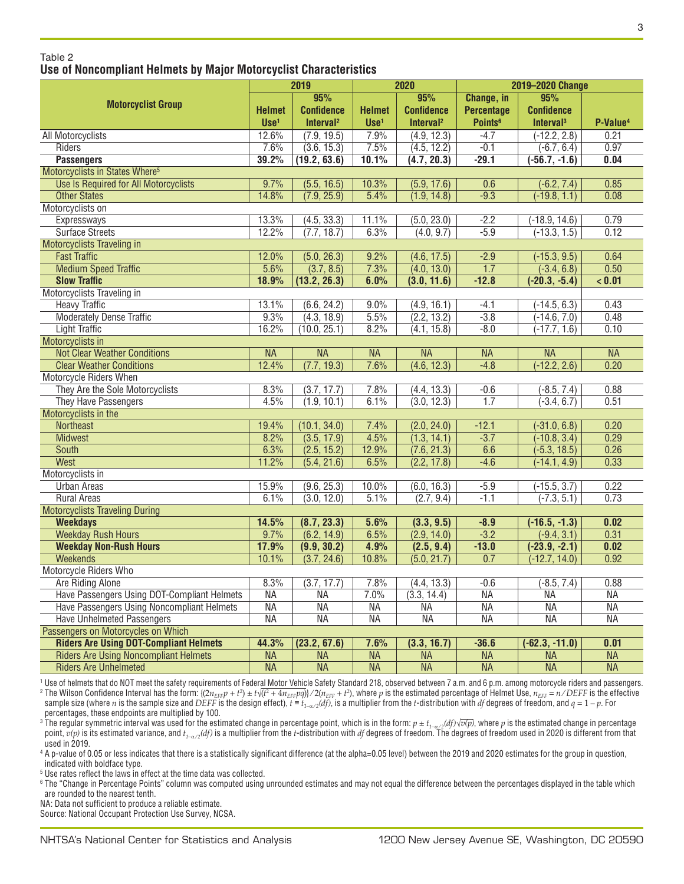#### Table 2 **Use of Noncompliant Helmets by Major Motorcyclist Characteristics**

|                                               | 2019          |                       | 2020             |                          | 2019-2020 Change         |                          |                          |
|-----------------------------------------------|---------------|-----------------------|------------------|--------------------------|--------------------------|--------------------------|--------------------------|
|                                               |               | 95%                   |                  | 95%                      | Change, in               | 95%                      |                          |
| <b>Motorcyclist Group</b>                     | <b>Helmet</b> | <b>Confidence</b>     | <b>Helmet</b>    | <b>Confidence</b>        | <b>Percentage</b>        | <b>Confidence</b>        |                          |
|                                               | $Use1$        | Interval <sup>2</sup> | Use <sup>1</sup> | Interval <sup>2</sup>    | Points <sup>6</sup>      | Interval <sup>3</sup>    | P-Value <sup>4</sup>     |
| All Motorcyclists                             | 12.6%         | (7.9, 19.5)           | 7.9%             | (4.9, 12.3)              | $-4.7$                   | $(-12.2, 2.8)$           | 0.21                     |
| Riders                                        | 7.6%          | (3.6, 15.3)           | 7.5%             | (4.5, 12.2)              | $-0.1$                   | $(-6.7, 6.4)$            | 0.97                     |
| <b>Passengers</b>                             | 39.2%         | (19.2, 63.6)          | 10.1%            | (4.7, 20.3)              | $-29.1$                  | $-56.7, -1.6$            | 0.04                     |
| Motorcyclists in States Where <sup>5</sup>    |               |                       |                  |                          |                          |                          |                          |
| Use Is Required for All Motorcyclists         | 9.7%          | (5.5, 16.5)           | 10.3%            | (5.9, 17.6)              | 0.6                      | $(-6.2, 7.4)$            | 0.85                     |
| <b>Other States</b>                           | 14.8%         | (7.9, 25.9)           | 5.4%             | (1.9, 14.8)              | $-9.3$                   | $(-19.8, 1.1)$           | 0.08                     |
| Motorcyclists on                              |               |                       |                  |                          |                          |                          |                          |
| Expressways                                   | 13.3%         | (4.5, 33.3)           | 11.1%            | (5.0, 23.0)              | $-2.2$                   | $(-18.9, 14.6)$          | 0.79                     |
| <b>Surface Streets</b>                        | 12.2%         | (7.7, 18.7)           | 6.3%             | (4.0, 9.7)               | $-5.9$                   | $(-13.3, 1.5)$           | 0.12                     |
| Motorcyclists Traveling in                    |               |                       |                  |                          |                          |                          |                          |
| <b>Fast Traffic</b>                           | 12.0%         | (5.0, 26.3)           | 9.2%             | (4.6, 17.5)              | $-2.9$                   | $(-15.3, 9.5)$           | 0.64                     |
| <b>Medium Speed Traffic</b>                   | 5.6%          | (3.7, 8.5)            | 7.3%             | (4.0, 13.0)              | 1.7                      | $(-3.4, 6.8)$            | 0.50                     |
| <b>Slow Traffic</b>                           | 18.9%         | (13.2, 26.3)          | 6.0%             | (3.0, 11.6)              | $-12.8$                  | $(-20.3, -5.4)$          | < 0.01                   |
| Motorcyclists Traveling in                    |               |                       |                  |                          |                          |                          |                          |
| <b>Heavy Traffic</b>                          | 13.1%         | (6.6, 24.2)           | $9.0\%$          | (4.9, 16.1)              | $-4.1$                   | $(-14.5, 6.3)$           | 0.43                     |
| <b>Moderately Dense Traffic</b>               | 9.3%          | (4.3, 18.9)           | 5.5%             | (2.2, 13.2)              | $-3.8$                   | $(-14.6, 7.0)$           | 0.48                     |
| <b>Light Traffic</b>                          | 16.2%         | (10.0, 25.1)          | 8.2%             | (4.1, 15.8)              | $-8.0$                   | $(-17.7, 1.6)$           | 0.10                     |
| Motorcyclists in                              |               |                       |                  |                          |                          |                          |                          |
| <b>Not Clear Weather Conditions</b>           | <b>NA</b>     | <b>NA</b>             | <b>NA</b>        | $\overline{\mathsf{NA}}$ | <b>NA</b>                | <b>NA</b>                | <b>NA</b>                |
| <b>Clear Weather Conditions</b>               | 12.4%         | (7.7, 19.3)           | 7.6%             | (4.6, 12.3)              | $-4.8$                   | $(-12.2, 2.6)$           | 0.20                     |
| <b>Motorcycle Riders When</b>                 |               |                       |                  |                          |                          |                          |                          |
| They Are the Sole Motorcyclists               | 8.3%          | (3.7, 17.7)           | 7.8%             | (4.4, 13.3)              | $-0.6$                   | $(-8.5, 7.4)$            | 0.88                     |
| They Have Passengers                          | 4.5%          | (1.9, 10.1)           | 6.1%             | (3.0, 12.3)              | 1.7                      | $(-3.4, 6.7)$            | 0.51                     |
| Motorcyclists in the                          |               |                       |                  |                          |                          |                          |                          |
| <b>Northeast</b>                              | 19.4%         | (10.1, 34.0)          | 7.4%             | (2.0, 24.0)              | $-12.1$                  | $(-31.0, 6.8)$           | 0.20                     |
| <b>Midwest</b>                                | 8.2%          | (3.5, 17.9)           | 4.5%             | (1.3, 14.1)              | $-3.7$                   | $(-10.8, 3.4)$           | 0.29                     |
| South                                         | 6.3%          | (2.5, 15.2)           | 12.9%            | (7.6, 21.3)              | 6.6                      | $(-5.3, 18.5)$           | 0.26                     |
| West                                          | 11.2%         | (5.4, 21.6)           | 6.5%             | (2.2, 17.8)              | $-4.6$                   | $(-14.1, 4.9)$           | 0.33                     |
| Motorcyclists in                              |               |                       |                  |                          |                          |                          |                          |
| <b>Urban Areas</b>                            | 15.9%         | (9.6, 25.3)           | $10.0\%$         | (6.0, 16.3)              | $-5.9$                   | $(-15.5, 3.7)$           | 0.22                     |
| <b>Rural Areas</b>                            | 6.1%          | (3.0, 12.0)           | 5.1%             | (2.7, 9.4)               | $-1.1$                   | $(-7.3, 5.1)$            | 0.73                     |
| <b>Motorcyclists Traveling During</b>         |               |                       |                  |                          |                          |                          |                          |
| <b>Weekdays</b>                               | 14.5%         | (8.7, 23.3)           | 5.6%             | (3.3, 9.5)               | $-8.9$                   | $(-16.5, -1.3)$          | 0.02                     |
| <b>Weekday Rush Hours</b>                     | 9.7%          | (6.2, 14.9)           | 6.5%             | (2.9, 14.0)              | $-3.2$                   | $(-9.4, 3.1)$            | 0.31                     |
| <b>Weekday Non-Rush Hours</b>                 | 17.9%         | (9.9, 30.2)           | 4.9%             | (2.5, 9.4)               | $-13.0$                  | $(-23.9, -2.1)$          | 0.02                     |
| <b>Weekends</b>                               | 10.1%         | (3.7, 24.6)           | 10.8%            | (5.0, 21.7)              | 0.7                      | $(-12.7, 14.0)$          | 0.92                     |
| Motorcycle Riders Who                         |               |                       |                  |                          |                          |                          |                          |
| Are Riding Alone                              | 8.3%          | (3.7, 17.7)           | 7.8%             | (4.4, 13.3)              | $-0.6$                   | $(-8.5, 7.4)$            | 0.88                     |
| Have Passengers Using DOT-Compliant Helmets   | <b>NA</b>     | <b>NA</b>             | 7.0%             | (3.3, 14.4)              | <b>NA</b>                | <b>NA</b>                | <b>NA</b>                |
| Have Passengers Using Noncompliant Helmets    | <b>NA</b>     | <b>NA</b>             | <b>NA</b>        | <b>NA</b>                | <b>NA</b>                | <b>NA</b>                | <b>NA</b>                |
| <b>Have Unhelmeted Passengers</b>             | <b>NA</b>     | <b>NA</b>             | <b>NA</b>        | <b>NA</b>                | <b>NA</b>                | <b>NA</b>                | <b>NA</b>                |
| Passengers on Motorcycles on Which            |               |                       |                  |                          |                          |                          |                          |
| <b>Riders Are Using DOT-Compliant Helmets</b> | 44.3%         | (23.2, 67.6)          | 7.6%             | (3.3, 16.7)              | $-36.6$                  | $(-62.3, -11.0)$         | 0.01                     |
| <b>Riders Are Using Noncompliant Helmets</b>  | <b>NA</b>     | <b>NA</b>             | <b>NA</b>        | <b>NA</b>                | $\overline{\mathsf{NA}}$ | <b>NA</b>                | <b>NA</b>                |
| <b>Riders Are Unhelmeted</b>                  | <b>NA</b>     | <b>NA</b>             | <b>NA</b>        | $\overline{\mathsf{NA}}$ | $\overline{\mathsf{NA}}$ | $\overline{\mathsf{NA}}$ | $\overline{\mathsf{NA}}$ |

<sup>1</sup> Use of helmets that do NOT meet the safety requirements of Federal Motor Vehicle Safety Standard 218, observed between 7 a.m. and 6 p.m. among motorcycle riders and passengers.  $^2$  The Wilson Confidence Interval has the form: {(2 $n_{EFF}$  + t $^2$ ) ± t $\sqrt{(t^2+4n_{EFF}pq)}\times2(n_{EFF}+t^2),$  where  $p$  is the estimated percentage of Helmet Use,  $n_{EFF}=n/DEF$  is the effective

sample size (where n is the sample size and DEFF is the design effect),  $t = t_{1-\alpha/2}(df)$ , is a multiplier from the t-distribution with df degrees of freedom, and  $q = 1 - p$ . For percentages, these endpoints are multiplied by 100.

<sup>3</sup> The regular symmetric interval was used for the estimated change in percentage point, which is in the form:  $p \pm t_{1-\alpha/2}(df)\sqrt{v(p)}$ , where  $p$  is the estimated change in percentage point,  $v(p)$  is its estimated variance, and  $t_{1-\alpha/2}(df)$  is a multiplier from the *t*-distribution with *df* degrees of freedom. The degrees of freedom used in 2020 is different from that used in 2019.

<sup>4</sup> A p-value of 0.05 or less indicates that there is a statistically significant difference (at the alpha=0.05 level) between the 2019 and 2020 estimates for the group in question, indicated with boldface type.

<sup>5</sup> Use rates reflect the laws in effect at the time data was collected.

<sup>6</sup> The "Change in Percentage Points" column was computed using unrounded estimates and may not equal the difference between the percentages displayed in the table which are rounded to the nearest tenth.

NA: Data not sufficient to produce a reliable estimate.

Source: National Occupant Protection Use Survey, NCSA.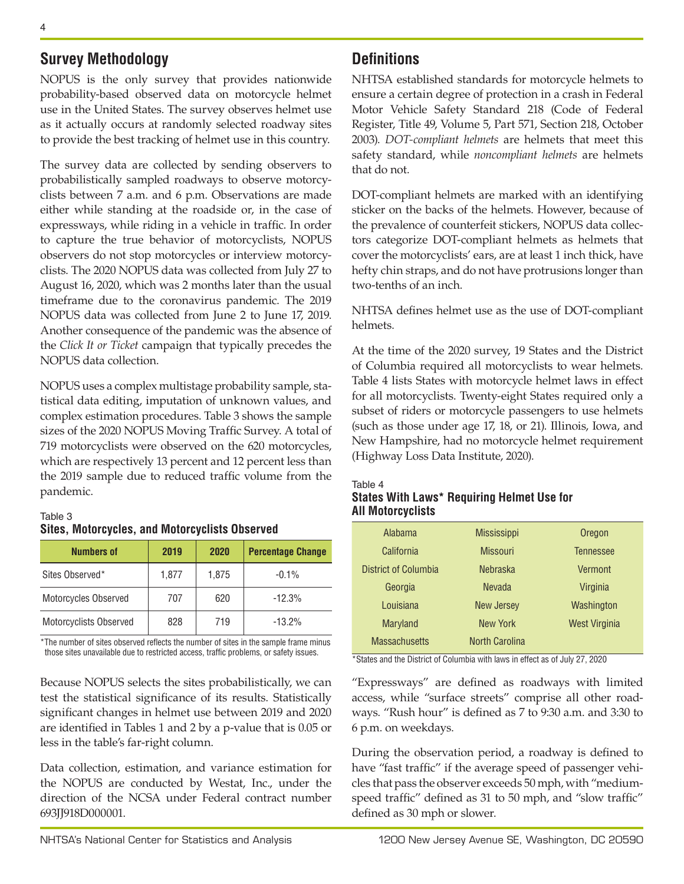# **Survey Methodology**

NOPUS is the only survey that provides nationwide probability-based observed data on motorcycle helmet use in the United States. The survey observes helmet use as it actually occurs at randomly selected roadway sites to provide the best tracking of helmet use in this country.

The survey data are collected by sending observers to probabilistically sampled roadways to observe motorcyclists between 7 a.m. and 6 p.m. Observations are made either while standing at the roadside or, in the case of expressways, while riding in a vehicle in traffic. In order to capture the true behavior of motorcyclists, NOPUS observers do not stop motorcycles or interview motorcyclists. The 2020 NOPUS data was collected from July 27 to August 16, 2020, which was 2 months later than the usual timeframe due to the coronavirus pandemic. The 2019 NOPUS data was collected from June 2 to June 17, 2019. Another consequence of the pandemic was the absence of the *Click It or Ticket* campaign that typically precedes the NOPUS data collection.

NOPUS uses a complex multistage probability sample, statistical data editing, imputation of unknown values, and complex estimation procedures. Table 3 shows the sample sizes of the 2020 NOPUS Moving Traffic Survey. A total of 719 motorcyclists were observed on the 620 motorcycles, which are respectively 13 percent and 12 percent less than the 2019 sample due to reduced traffic volume from the pandemic.

## Table 3 **Sites, Motorcycles, and Motorcyclists Observed**

| <b>Numbers of</b>      | 2019  | 2020  | <b>Percentage Change</b> |
|------------------------|-------|-------|--------------------------|
| Sites Observed*        | 1,877 | 1,875 | $-0.1%$                  |
| Motorcycles Observed   | 707   | 620   | $-12.3%$                 |
| Motorcyclists Observed | 828   | 719   | $-13.2%$                 |

\*The number of sites observed reflects the number of sites in the sample frame minus those sites unavailable due to restricted access, traffic problems, or safety issues.

Because NOPUS selects the sites probabilistically, we can test the statistical significance of its results. Statistically significant changes in helmet use between 2019 and 2020 are identified in Tables 1 and 2 by a p-value that is 0.05 or less in the table's far-right column.

Data collection, estimation, and variance estimation for the NOPUS are conducted by Westat, Inc., under the direction of the NCSA under Federal contract number 693JJ918D000001.

# **Definitions**

NHTSA established standards for motorcycle helmets to ensure a certain degree of protection in a crash in Federal Motor Vehicle Safety Standard 218 (Code of Federal Register, Title 49, Volume 5, Part 571, Section 218, October 2003). *DOT-compliant helmets* are helmets that meet this safety standard, while *noncompliant helmets* are helmets that do not.

DOT-compliant helmets are marked with an identifying sticker on the backs of the helmets. However, because of the prevalence of counterfeit stickers, NOPUS data collectors categorize DOT-compliant helmets as helmets that cover the motorcyclists' ears, are at least 1 inch thick, have hefty chin straps, and do not have protrusions longer than two-tenths of an inch.

NHTSA defines helmet use as the use of DOT-compliant helmets.

At the time of the 2020 survey, 19 States and the District of Columbia required all motorcyclists to wear helmets. Table 4 lists States with motorcycle helmet laws in effect for all motorcyclists. Twenty-eight States required only a subset of riders or motorcycle passengers to use helmets (such as those under age 17, 18, or 21). Illinois, Iowa, and New Hampshire, had no motorcycle helmet requirement (Highway Loss Data Institute, 2020).

Table 4

## **States With Laws\* Requiring Helmet Use for All Motorcyclists**

| Alabama              | <b>Mississippi</b>    | Oregon        |
|----------------------|-----------------------|---------------|
| California           | <b>Missouri</b>       | Tennessee     |
| District of Columbia | <b>Nebraska</b>       | Vermont       |
| Georgia              | <b>Nevada</b>         | Virginia      |
| Louisiana            | <b>New Jersey</b>     | Washington    |
| <b>Maryland</b>      | New York              | West Virginia |
| <b>Massachusetts</b> | <b>North Carolina</b> |               |

\*States and the District of Columbia with laws in effect as of July 27, 2020

"Expressways" are defined as roadways with limited access, while "surface streets" comprise all other roadways. "Rush hour" is defined as 7 to 9:30 a.m. and 3:30 to 6 p.m. on weekdays.

During the observation period, a roadway is defined to have "fast traffic" if the average speed of passenger vehicles that pass the observer exceeds 50 mph, with "mediumspeed traffic" defined as 31 to 50 mph, and "slow traffic" defined as 30 mph or slower.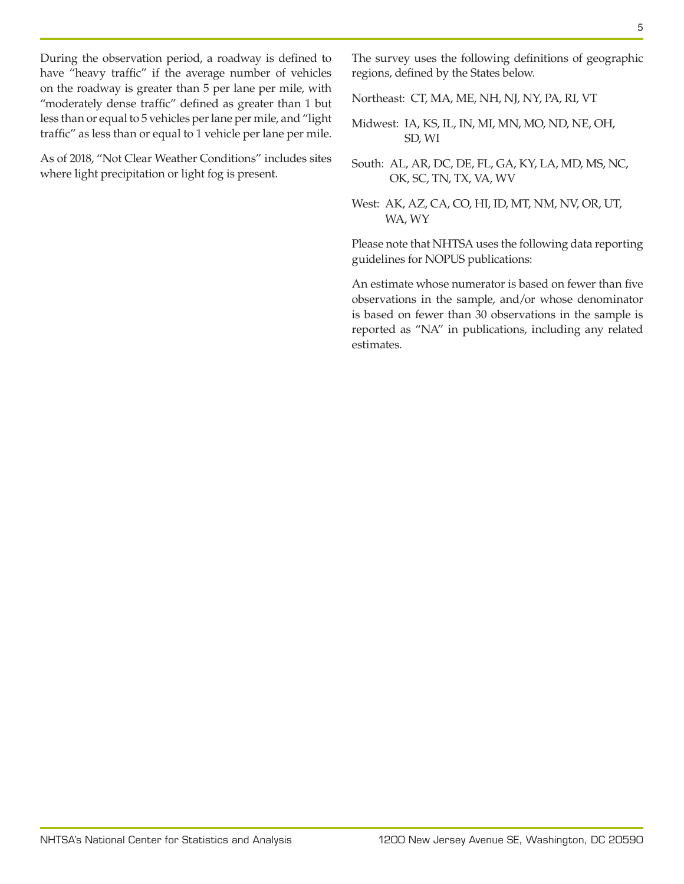During the observation period, a roadway is defined to have "heavy traffic" if the average number of vehicles on the roadway is greater than 5 per lane per mile, with "moderately dense traffic" defined as greater than 1 but less than or equal to 5 vehicles per lane per mile, and "light traffic" as less than or equal to 1 vehicle per lane per mile.

As of 2018, "Not Clear Weather Conditions" includes sites where light precipitation or light fog is present.

The survey uses the following definitions of geographic regions, defined by the States below.

Northeast: CT, MA, ME, NH, NJ, NY, PA, RI, VT

Midwest: IA, KS, IL, IN, MI, MN, MO, ND, NE, OH, SD, WI

South: AL, AR, DC, DE, FL, GA, KY, LA, MD, MS, NC, OK, SC, TN, TX, VA, WV

West: AK, AZ, CA, CO, HI, ID, MT, NM, NV, OR, UT, WA, WY

Please note that NHTSA uses the following data reporting guidelines for NOPUS publications:

An estimate whose numerator is based on fewer than five observations in the sample, and/or whose denominator is based on fewer than 30 observations in the sample is reported as "NA" in publications, including any related estimates.